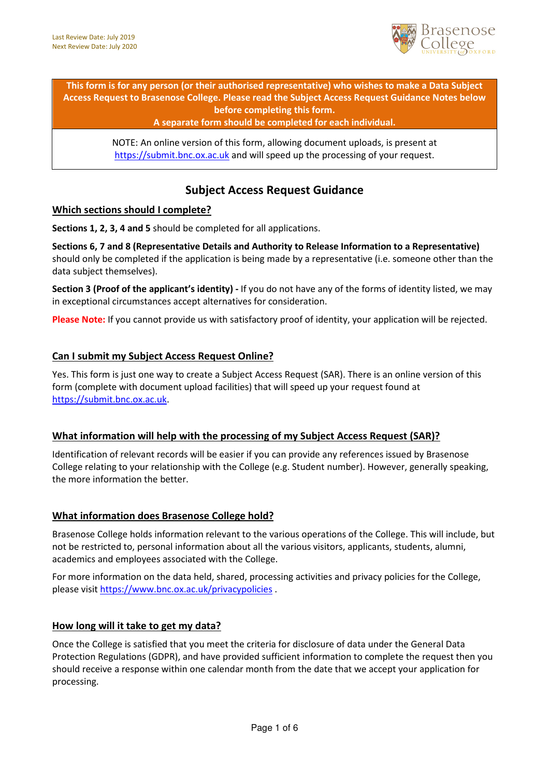

This form is for any person (or their authorised representative) who wishes to make a Data Subject Access Request to Brasenose College. Please read the Subject Access Request Guidance Notes below before completing this form.

#### A separate form should be completed for each individual.

NOTE: An online version of this form, allowing document uploads, is present at https://submit.bnc.ox.ac.uk and will speed up the processing of your request.

# Subject Access Request Guidance

## Which sections should I complete?

Sections 1, 2, 3, 4 and 5 should be completed for all applications.

Sections 6, 7 and 8 (Representative Details and Authority to Release Information to a Representative) should only be completed if the application is being made by a representative (i.e. someone other than the data subject themselves).

Section 3 (Proof of the applicant's identity) - If you do not have any of the forms of identity listed, we may in exceptional circumstances accept alternatives for consideration.

Please Note: If you cannot provide us with satisfactory proof of identity, your application will be rejected.

## Can I submit my Subject Access Request Online?

Yes. This form is just one way to create a Subject Access Request (SAR). There is an online version of this form (complete with document upload facilities) that will speed up your request found at https://submit.bnc.ox.ac.uk.

## What information will help with the processing of my Subject Access Request (SAR)?

Identification of relevant records will be easier if you can provide any references issued by Brasenose College relating to your relationship with the College (e.g. Student number). However, generally speaking, the more information the better.

## What information does Brasenose College hold?

Brasenose College holds information relevant to the various operations of the College. This will include, but not be restricted to, personal information about all the various visitors, applicants, students, alumni, academics and employees associated with the College.

For more information on the data held, shared, processing activities and privacy policies for the College, please visit https://www.bnc.ox.ac.uk/privacypolicies .

#### How long will it take to get my data?

Once the College is satisfied that you meet the criteria for disclosure of data under the General Data Protection Regulations (GDPR), and have provided sufficient information to complete the request then you should receive a response within one calendar month from the date that we accept your application for processing.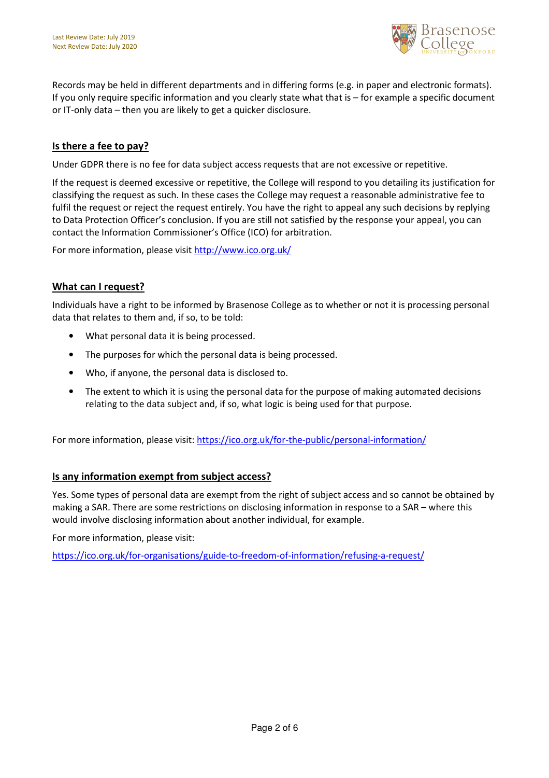

Records may be held in different departments and in differing forms (e.g. in paper and electronic formats). If you only require specific information and you clearly state what that is – for example a specific document or IT-only data – then you are likely to get a quicker disclosure.

# Is there a fee to pay?

Under GDPR there is no fee for data subject access requests that are not excessive or repetitive.

If the request is deemed excessive or repetitive, the College will respond to you detailing its justification for classifying the request as such. In these cases the College may request a reasonable administrative fee to fulfil the request or reject the request entirely. You have the right to appeal any such decisions by replying to Data Protection Officer's conclusion. If you are still not satisfied by the response your appeal, you can contact the Information Commissioner's Office (ICO) for arbitration.

For more information, please visit http://www.ico.org.uk/

## What can I request?

Individuals have a right to be informed by Brasenose College as to whether or not it is processing personal data that relates to them and, if so, to be told:

- What personal data it is being processed.
- The purposes for which the personal data is being processed.
- Who, if anyone, the personal data is disclosed to.
- The extent to which it is using the personal data for the purpose of making automated decisions relating to the data subject and, if so, what logic is being used for that purpose.

For more information, please visit: https://ico.org.uk/for-the-public/personal-information/

## Is any information exempt from subject access?

Yes. Some types of personal data are exempt from the right of subject access and so cannot be obtained by making a SAR. There are some restrictions on disclosing information in response to a SAR – where this would involve disclosing information about another individual, for example.

For more information, please visit:

https://ico.org.uk/for-organisations/guide-to-freedom-of-information/refusing-a-request/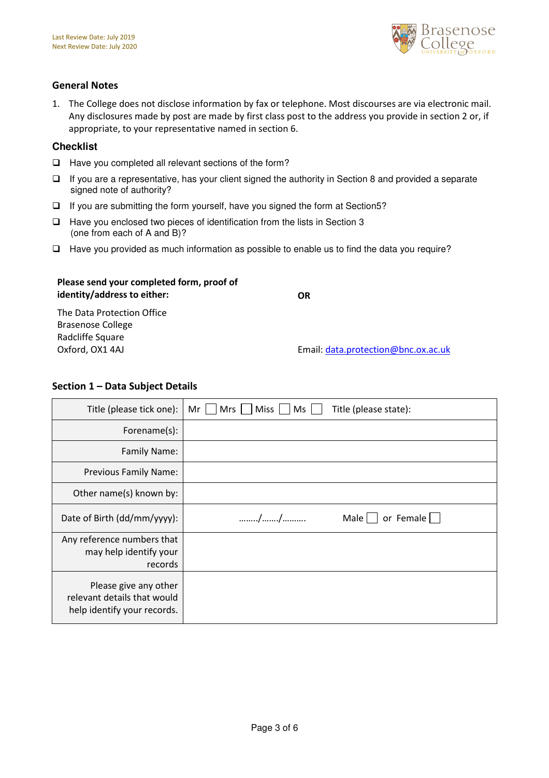

## General Notes

1. The College does not disclose information by fax or telephone. Most discourses are via electronic mail. Any disclosures made by post are made by first class post to the address you provide in section 2 or, if appropriate, to your representative named in section 6.

#### **Checklist**

- $\Box$  Have you completed all relevant sections of the form?
- $\Box$  If you are a representative, has your client signed the authority in Section 8 and provided a separate signed note of authority?
- $\Box$  If you are submitting the form yourself, have you signed the form at Section5?
- $\Box$  Have you enclosed two pieces of identification from the lists in Section 3 (one from each of A and B)?
- $\Box$  Have you provided as much information as possible to enable us to find the data you require?

# Please send your completed form, proof of identity/address to either:

**OR** 

The Data Protection Office Brasenose College Radcliffe Square Oxford, OX1 4AJ

Email: data.protection@bnc.ox.ac.uk

## Section 1 – Data Subject Details

| Title (please tick one):                                                            | Miss  <br>Ms<br>Title (please state):<br>Mr<br>Mrs |
|-------------------------------------------------------------------------------------|----------------------------------------------------|
| Forename(s):                                                                        |                                                    |
| Family Name:                                                                        |                                                    |
| <b>Previous Family Name:</b>                                                        |                                                    |
| Other name(s) known by:                                                             |                                                    |
| Date of Birth (dd/mm/yyyy):                                                         | //<br>Male $\vert$ $\vert$<br>or Female $  \;  $   |
| Any reference numbers that<br>may help identify your<br>records                     |                                                    |
| Please give any other<br>relevant details that would<br>help identify your records. |                                                    |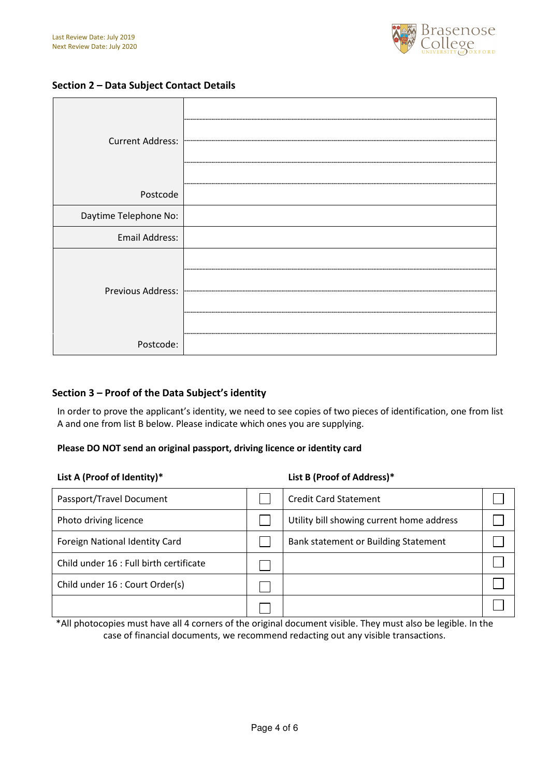

## Section 2 – Data Subject Contact Details

| <b>Current Address:</b> |  |
|-------------------------|--|
| Postcode                |  |
| Daytime Telephone No:   |  |
| Email Address:          |  |
| Previous Address:       |  |
| Postcode:               |  |

## Section 3 – Proof of the Data Subject's identity

In order to prove the applicant's identity, we need to see copies of two pieces of identification, one from list A and one from list B below. Please indicate which ones you are supplying.

## Please DO NOT send an original passport, driving licence or identity card

| List A (Proof of Identity)*             |  | List B (Proof of Address)*                |  |  |
|-----------------------------------------|--|-------------------------------------------|--|--|
| Passport/Travel Document                |  | <b>Credit Card Statement</b>              |  |  |
| Photo driving licence                   |  | Utility bill showing current home address |  |  |
| Foreign National Identity Card          |  | Bank statement or Building Statement      |  |  |
| Child under 16 : Full birth certificate |  |                                           |  |  |
| Child under 16 : Court Order(s)         |  |                                           |  |  |
|                                         |  |                                           |  |  |

\*All photocopies must have all 4 corners of the original document visible. They must also be legible. In the case of financial documents, we recommend redacting out any visible transactions.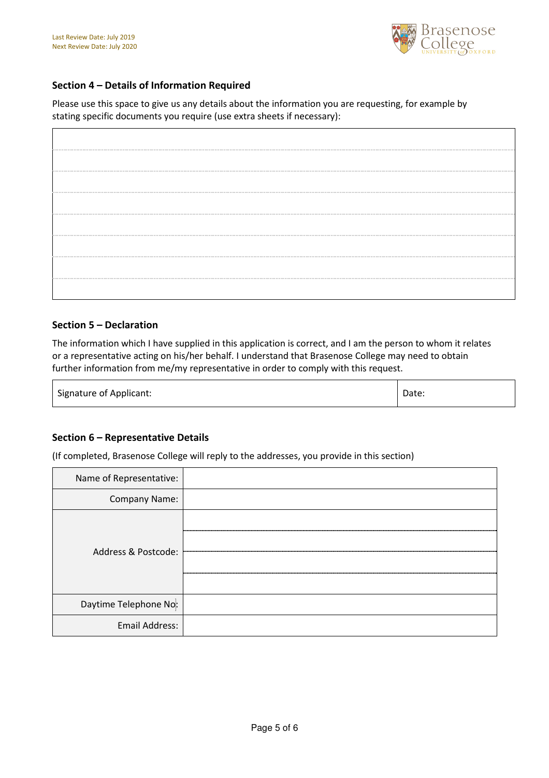

## Section 4 – Details of Information Required

Please use this space to give us any details about the information you are requesting, for example by stating specific documents you require (use extra sheets if necessary):

## Section 5 – Declaration

The information which I have supplied in this application is correct, and I am the person to whom it relates or a representative acting on his/her behalf. I understand that Brasenose College may need to obtain further information from me/my representative in order to comply with this request.

Signature of Applicant:  $\Box$  Date:  $\Box$ 

## Section 6 – Representative Details

(If completed, Brasenose College will reply to the addresses, you provide in this section)

| Name of Representative: |  |
|-------------------------|--|
| Company Name:           |  |
| Address & Postcode:     |  |
| Daytime Telephone No:   |  |
| <b>Email Address:</b>   |  |